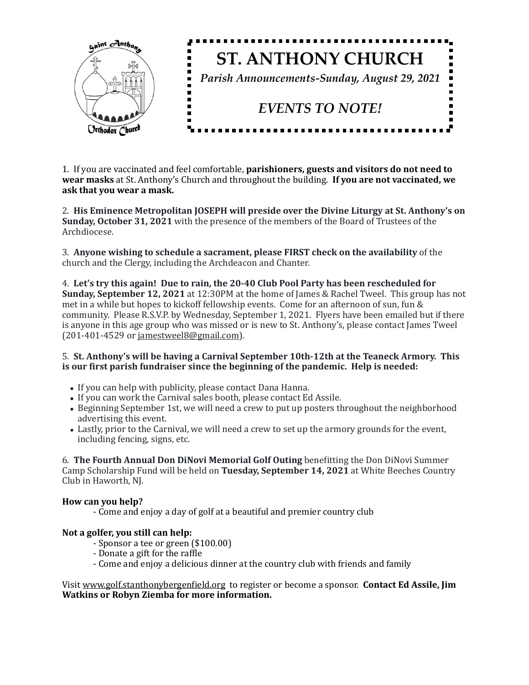

1. If you are vaccinated and feel comfortable, **parishioners, guests and visitors do not need to wear masks** at St. Anthony's Church and throughout the building. **If you are not vaccinated, we** ask that you wear a mask.

2. His Eminence Metropolitan JOSEPH will preside over the Divine Liturgy at St. Anthony's on **Sunday, October 31, 2021** with the presence of the members of the Board of Trustees of the Archdiocese. 

3. Anyone wishing to schedule a sacrament, please FIRST check on the availability of the church and the Clergy, including the Archdeacon and Chanter.

4. Let's try this again! Due to rain, the 20-40 Club Pool Party has been rescheduled for **Sunday, September 12, 2021** at 12:30PM at the home of James & Rachel Tweel. This group has not met in a while but hopes to kickoff fellowship events. Come for an afternoon of sun, fun  $&$ community. Please R.S.V.P. by Wednesday, September 1, 2021. Flyers have been emailed but if there is anyone in this age group who was missed or is new to St. Anthony's, please contact James Tweel  $(201-401-4529$  or [jamestweel8@gmail.com\)](mailto:jamestweel8@gmail.com).

## 5. St. Anthony's will be having a Carnival September 10th-12th at the Teaneck Armory. This is our first parish fundraiser since the beginning of the pandemic. Help is needed:

- If you can help with publicity, please contact Dana Hanna.
- If you can work the Carnival sales booth, please contact Ed Assile.
- Beginning September 1st, we will need a crew to put up posters throughout the neighborhood advertising this event.
- Lastly, prior to the Carnival, we will need a crew to set up the armory grounds for the event, including fencing, signs, etc.

6. **The Fourth Annual Don DiNovi Memorial Golf Outing** benefitting the Don DiNovi Summer Camp Scholarship Fund will be held on **Tuesday, September 14, 2021** at White Beeches Country Club in Haworth, NJ.

## How can you help?

- Come and enjoy a day of golf at a beautiful and premier country club

## Not a golfer, you still can help:

- Sponsor a tee or green (\$100.00)
- Donate a gift for the raffle
- Come and enjoy a delicious dinner at the country club with friends and family

Visit www.golf.stanthonybergenfield.org to register or become a sponsor. **Contact Ed Assile, Jim Watkins or Robyn Ziemba for more information.**